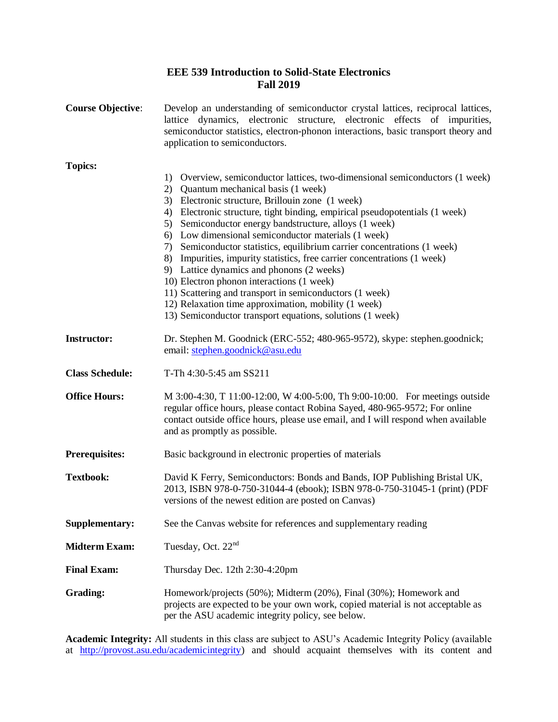## **EEE 539 Introduction to Solid-State Electronics Fall 2019**

| <b>Course Objective:</b> | Develop an understanding of semiconductor crystal lattices, reciprocal lattices,<br>lattice dynamics, electronic structure, electronic effects of impurities,<br>semiconductor statistics, electron-phonon interactions, basic transport theory and<br>application to semiconductors.                                                                                                                                                                                                                                                                                                                                                                                                                                                                                                                                              |
|--------------------------|------------------------------------------------------------------------------------------------------------------------------------------------------------------------------------------------------------------------------------------------------------------------------------------------------------------------------------------------------------------------------------------------------------------------------------------------------------------------------------------------------------------------------------------------------------------------------------------------------------------------------------------------------------------------------------------------------------------------------------------------------------------------------------------------------------------------------------|
| <b>Topics:</b>           | Overview, semiconductor lattices, two-dimensional semiconductors (1 week)<br>1)<br>2)<br>Quantum mechanical basis (1 week)<br>Electronic structure, Brillouin zone (1 week)<br>3)<br>Electronic structure, tight binding, empirical pseudopotentials (1 week)<br>4)<br>Semiconductor energy bandstructure, alloys (1 week)<br>5)<br>Low dimensional semiconductor materials (1 week)<br>6)<br>Semiconductor statistics, equilibrium carrier concentrations (1 week)<br>7)<br>Impurities, impurity statistics, free carrier concentrations (1 week)<br>8)<br>9) Lattice dynamics and phonons (2 weeks)<br>10) Electron phonon interactions (1 week)<br>11) Scattering and transport in semiconductors (1 week)<br>12) Relaxation time approximation, mobility (1 week)<br>13) Semiconductor transport equations, solutions (1 week) |
| <b>Instructor:</b>       | Dr. Stephen M. Goodnick (ERC-552; 480-965-9572), skype: stephen.goodnick;<br>email: stephen.goodnick@asu.edu                                                                                                                                                                                                                                                                                                                                                                                                                                                                                                                                                                                                                                                                                                                       |
| <b>Class Schedule:</b>   | T-Th 4:30-5:45 am SS211                                                                                                                                                                                                                                                                                                                                                                                                                                                                                                                                                                                                                                                                                                                                                                                                            |
| <b>Office Hours:</b>     | M 3:00-4:30, T 11:00-12:00, W 4:00-5:00, Th 9:00-10:00. For meetings outside<br>regular office hours, please contact Robina Sayed, 480-965-9572; For online<br>contact outside office hours, please use email, and I will respond when available<br>and as promptly as possible.                                                                                                                                                                                                                                                                                                                                                                                                                                                                                                                                                   |
| <b>Prerequisites:</b>    | Basic background in electronic properties of materials                                                                                                                                                                                                                                                                                                                                                                                                                                                                                                                                                                                                                                                                                                                                                                             |
| <b>Textbook:</b>         | David K Ferry, Semiconductors: Bonds and Bands, IOP Publishing Bristal UK,<br>2013, ISBN 978-0-750-31044-4 (ebook); ISBN 978-0-750-31045-1 (print) (PDF<br>versions of the newest edition are posted on Canvas)                                                                                                                                                                                                                                                                                                                                                                                                                                                                                                                                                                                                                    |
| Supplementary:           | See the Canvas website for references and supplementary reading                                                                                                                                                                                                                                                                                                                                                                                                                                                                                                                                                                                                                                                                                                                                                                    |
| <b>Midterm Exam:</b>     | Tuesday, Oct. 22 <sup>nd</sup>                                                                                                                                                                                                                                                                                                                                                                                                                                                                                                                                                                                                                                                                                                                                                                                                     |
| <b>Final Exam:</b>       | Thursday Dec. 12th 2:30-4:20pm                                                                                                                                                                                                                                                                                                                                                                                                                                                                                                                                                                                                                                                                                                                                                                                                     |
| <b>Grading:</b>          | Homework/projects (50%); Midterm (20%), Final (30%); Homework and<br>projects are expected to be your own work, copied material is not acceptable as<br>per the ASU academic integrity policy, see below.                                                                                                                                                                                                                                                                                                                                                                                                                                                                                                                                                                                                                          |

**Academic Integrity:** All students in this class are subject to ASU's Academic Integrity Policy (available at [http://provost.asu.edu/academicintegrity\)](http://provost.asu.edu/academicintegrity) and should acquaint themselves with its content and